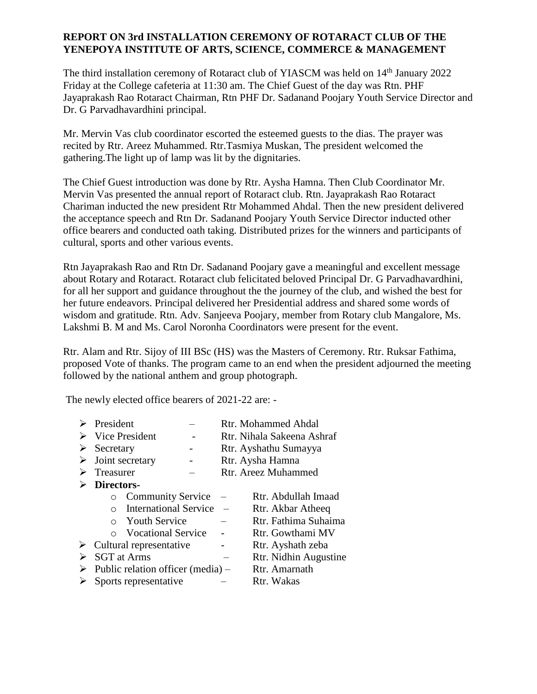## **REPORT ON 3rd INSTALLATION CEREMONY OF ROTARACT CLUB OF THE YENEPOYA INSTITUTE OF ARTS, SCIENCE, COMMERCE & MANAGEMENT**

The third installation ceremony of Rotaract club of YIASCM was held on 14<sup>th</sup> January 2022 Friday at the College cafeteria at 11:30 am. The Chief Guest of the day was Rtn. PHF Jayaprakash Rao Rotaract Chairman, Rtn PHF Dr. Sadanand Poojary Youth Service Director and Dr. G Parvadhavardhini principal.

Mr. Mervin Vas club coordinator escorted the esteemed guests to the dias. The prayer was recited by Rtr. Areez Muhammed. Rtr.Tasmiya Muskan, The president welcomed the gathering.The light up of lamp was lit by the dignitaries.

The Chief Guest introduction was done by Rtr. Aysha Hamna. Then Club Coordinator Mr. Mervin Vas presented the annual report of Rotaract club. Rtn. Jayaprakash Rao Rotaract Chariman inducted the new president Rtr Mohammed Ahdal. Then the new president delivered the acceptance speech and Rtn Dr. Sadanand Poojary Youth Service Director inducted other office bearers and conducted oath taking. Distributed prizes for the winners and participants of cultural, sports and other various events.

Rtn Jayaprakash Rao and Rtn Dr. Sadanand Poojary gave a meaningful and excellent message about Rotary and Rotaract. Rotaract club felicitated beloved Principal Dr. G Parvadhavardhini, for all her support and guidance throughout the the journey of the club, and wished the best for her future endeavors. Principal delivered her Presidential address and shared some words of wisdom and gratitude. Rtn. Adv. Sanjeeva Poojary, member from Rotary club Mangalore, Ms. Lakshmi B. M and Ms. Carol Noronha Coordinators were present for the event.

Rtr. Alam and Rtr. Sijoy of III BSc (HS) was the Masters of Ceremony. Rtr. Ruksar Fathima, proposed Vote of thanks. The program came to an end when the president adjourned the meeting followed by the national anthem and group photograph.

The newly elected office bearers of 2021-22 are: -

|   | President                         |                              |  |                            | <b>Rtr. Mohammed Ahdal</b> |
|---|-----------------------------------|------------------------------|--|----------------------------|----------------------------|
|   | Vice President                    |                              |  | Rtr. Nihala Sakeena Ashraf |                            |
| ➤ | Secretary                         |                              |  |                            | Rtr. Ayshathu Sumayya      |
| ➤ | Joint secretary                   |                              |  | Rtr. Aysha Hamna           |                            |
|   | Treasurer                         |                              |  | Rtr. Areez Muhammed        |                            |
|   | Directors-                        |                              |  |                            |                            |
|   | O                                 | <b>Community Service</b>     |  |                            | Rtr. Abdullah Imaad        |
|   | $\Omega$                          | <b>International Service</b> |  |                            | Rtr. Akbar Atheeq          |
|   |                                   | $\circ$ Youth Service        |  |                            | Rtr. Fathima Suhaima       |
|   |                                   | ○ Vocational Service         |  |                            | Rtr. Gowthami MV           |
| ➤ | Cultural representative           |                              |  | Rtr. Ayshath zeba          |                            |
| ➤ | <b>SGT</b> at Arms                |                              |  | Rtr. Nidhin Augustine      |                            |
| ➤ | Public relation officer (media) – |                              |  |                            | Rtr. Amarnath              |
|   | Sports representative             |                              |  | Rtr. Wakas                 |                            |
|   |                                   |                              |  |                            |                            |